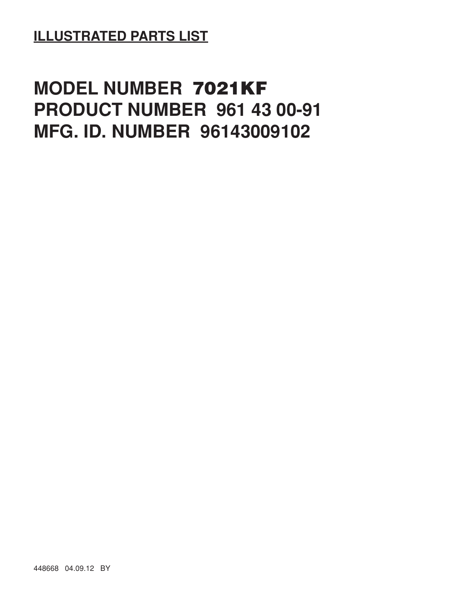**ILLUSTRATED PARTS LIST**

## **MODEL NUMBER 7021KF PRODUCT NUMBER 961 43 00-91 MFG. ID. NUMBER 96143009102**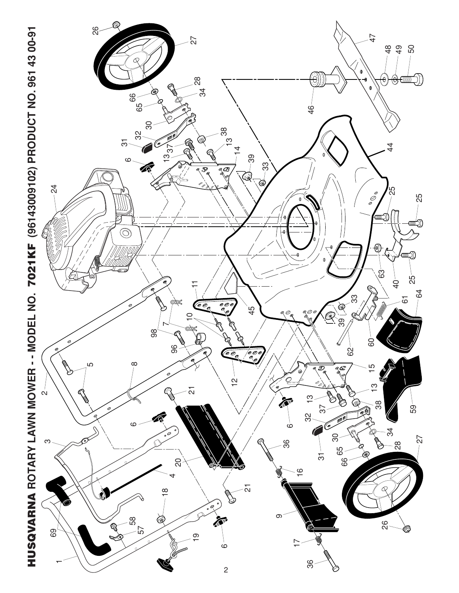

HUSQVARNA ROTARY LAWN MOWER - - MODEL NO. 7021 KF (96143009102) PRODUCT NO. 961 43 00-91 **HUSQVARNA ROTARY LAWN MOWER - - MODEL NO. 7021KF (96143009102) PRODUCT NO. 961 43 00-91**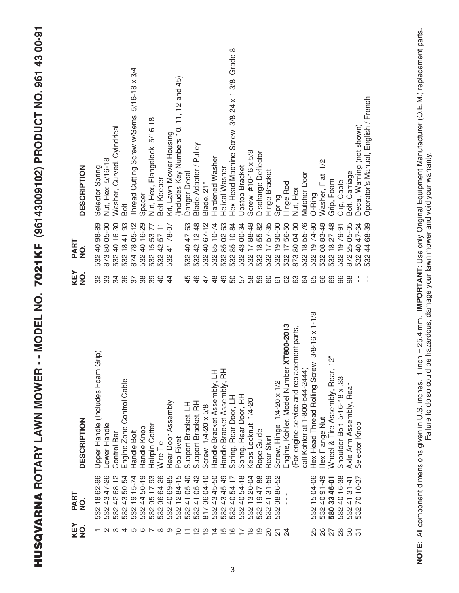| DESCRIPTION           | Nut, Hex 5/16-18<br>Selector Spring                    | Washer, Curved, Cyindrical | Bolt                      | $5/16 - 18 \times 3/4$<br>Thread Cutting Screw w/Sems | Spacer                             | Nut, Hex, Flangelock 5/16-18 | Belt Keeper          | Kit, Lawn Mower Housing | (Includes Key Numbers 10, 11, 12 and 45)          | Danger Decal        | Blade Adapter / Pulley   | Blade, 21"                  | Hardened Washer               | Helical Washer                | $\infty$<br>Grade<br>Head Machine Screw 3/8-24 x 1-3/8 | Jpstop Bracket                | Screw #10-16 x 5/8       | Discharge Deflector       | Hinge Bracket                                                                | Spring                        | Hinge Rod                               | <b>Vut, Hex</b>                               | Mulcher Door                   | O-Ring                                                     | Washer, Flat 1/2             | Grip, Foam                                                                  | Clip, Cable                 | Bolt, Carriage                         | Decal, Warning (not shown) | Operator's Manual, English / French |
|-----------------------|--------------------------------------------------------|----------------------------|---------------------------|-------------------------------------------------------|------------------------------------|------------------------------|----------------------|-------------------------|---------------------------------------------------|---------------------|--------------------------|-----------------------------|-------------------------------|-------------------------------|--------------------------------------------------------|-------------------------------|--------------------------|---------------------------|------------------------------------------------------------------------------|-------------------------------|-----------------------------------------|-----------------------------------------------|--------------------------------|------------------------------------------------------------|------------------------------|-----------------------------------------------------------------------------|-----------------------------|----------------------------------------|----------------------------|-------------------------------------|
| PART<br>$\frac{1}{2}$ | 98-89<br>873 80 05-00<br>532 40                        | 4016-30                    | 1841-93<br>$380 + 87$     | 7805-12                                               | 40 16-29                           | 53-77<br>$\frac{5}{1}$       | 4257-11              | 78-07<br>$\overline{4}$ |                                                   | 40 47-63            | 42 12-48                 | $67 - 12$<br>$\overline{Q}$ | 85 10-74                      | 02-63<br>85                   | $10 - 84$<br>85                                        | 00-34<br>$\frac{3}{4}$        | 88-48<br>$\overline{17}$ | 55-82<br>$\frac{8}{1}$    | 57-35<br>$\overline{1}$<br>្ត<br>ខ្លួន ខ្លួន ខ្លួន ខ្លួ<br>ឆ្នួន ខ្លួន ខ្លួន | 30-00<br>$\frac{1}{2}$        | 56-50<br>$\overline{1}$                 | 04-00<br>87380                                | 55-76<br>$\frac{8}{1}$         | 1974-80                                                    | 83-48<br>$\frac{8}{2}$       | $27 - 48$<br>$\frac{8}{1}$<br>ល ល ល ល ល ល<br>យ ល ល ល ល ល ល<br>ហ ហ ហ ហ ហ ហ ហ | 1979-91                     | 05-05<br>25                            | 47-64<br>$\overline{40}$   | 68-39<br>$\frac{4}{4}$<br>532       |
| KEY<br>NO.            | ွာ<br>လ္က                                              | 34                         | 36                        | 57                                                    | 38                                 | 39                           | $\overline{4}$       | $\frac{4}{4}$           |                                                   | 45                  | $\frac{4}{6}$            | 47                          | $\frac{8}{4}$                 | $\frac{9}{4}$                 | 50                                                     | 57<br>58                      |                          | 59                        | 60                                                                           | $\overline{6}$                | 89                                      | 63                                            | $\mathcal{Q}$                  | 65                                                         | 89                           | 69                                                                          | 96                          | 88                                     |                            |                                     |
| <b>DESCRIPTION</b>    | irip)<br>Upper Handle (Includes Foam G<br>Lower Handle | Control Bar                | Engine Zone Control Cable | Handle Bolt                                           | Handle Knob                        | Hairpin Cotter               | Wire Tie             | Rear Door Assembly      | Pop Rivet                                         | Support Bracket, LH | Support Bracket, RH      | Screw 1/4-20 x 5/8          | Handle Bracket Assembly, LH   | Handle Bracket Assembly, RH   | Spring, Rear Door, LH                                  | Spring, Rear Door, RH         | Keps Locknut 1/4-20      | Rope Guide                | Rear Skirt                                                                   | Screw, Hinge 1/4-20 x 1/2     | Engine, Kohler, Model Number XT800-2013 | ment parts<br>(For engine service and replace | call Kohler at 1-800-544-2444) | $3/8 - 16 \times 1 - 1/8$<br>Hex Head Thread Rolling Screw | Hex Flange Nut               | ้ง<br>Wheel & Tire Assembly, Rear, 1                                        | Shoulder Bolt 5/16-18 x .33 | Axle Arm Assembly, Rear                | Selector Knob              |                                     |
| PART<br>$\frac{1}{2}$ | 62-96<br>47-26<br>$\frac{8}{10}$<br>43                 | $68 - 12$<br>$\frac{2}{3}$ | 50-54<br>$\frac{3}{4}$    | $15 - 74$<br>$\frac{1}{2}$<br>532                     | $50 - 19$<br>$\overline{4}$<br>532 | $17 - 93$<br>80<br>532       | 64-26<br>$8^{\circ}$ | 69-85<br>$\overline{Q}$ | 84-15<br>05-40<br>$\frac{\mathsf{C}}{\mathsf{L}}$ | $\frac{1}{4}$       | $05 - 42$<br>$rac{1}{4}$ | $04 - 10$<br>80             | 45-50<br>$\frac{3}{4}$<br>532 | 45-49<br>$\frac{3}{4}$<br>532 | 4054-17<br>532                                         | 54-18<br>$\frac{4}{5}$<br>532 | 20-04<br>ဗ္<br>532       | 47-88<br><u>စု</u><br>532 | 41 31-59<br>532                                                              | 86-52<br>$\frac{8}{2}$<br>532 |                                         |                                               |                                |                                                            | 532 15 04-06<br>532 40 91-49 | 580 33 46-01                                                                | 16-38                       | 41 31-41<br>532 40<br>532 41<br>532 70 | $10 - 37$                  |                                     |
| KEY<br>NO.            | 1294567890712712772                                    |                            |                           |                                                       |                                    |                              |                      |                         |                                                   |                     |                          |                             |                               |                               |                                                        |                               |                          | $\frac{6}{1}$             | SO                                                                           | $\overline{\Omega}$           | $\frac{5}{4}$                           |                                               |                                |                                                            |                              | 5<br>202025                                                                 |                             |                                        |                            |                                     |

**HUSQVARNA ROTARY LAWN MOWER - - MODEL NO. 7021KF (96143009102) PRODUCT NO. 961 43 00-91**

HUSQVARNA ROTARY LAWN MOWER -- MODEL NO. 7021KF (96143009102) PRODUCT NO. 961 43 00-91

NOTE: All component dimensions given in U.S. inches. 1 inch = 25.4 mm. IMPORTANT: Use only Original Equipment Manufacturer (O.E.M.) replacement parts.<br>Failure to do so could be hazardous, damage your lawn mower and void yo **NOTE:** All component dimensions given in U.S. inches. 1 inch = 25.4 mm. **IMPORTANT:** Use only Original Equipment Manufacturer (O.E.M.) replacement parts. Failure to do so could be hazardous, damage your lawn mower and void your warranty.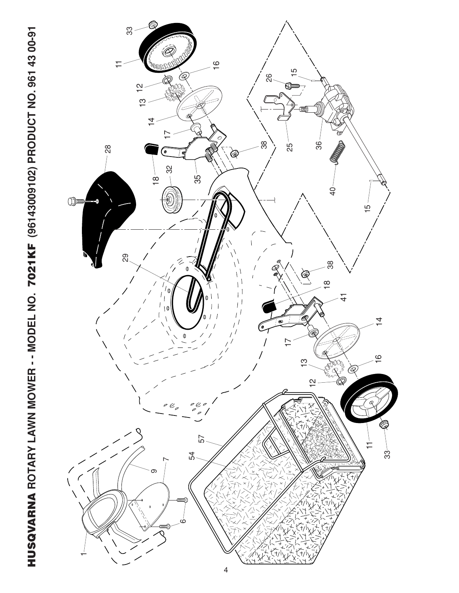